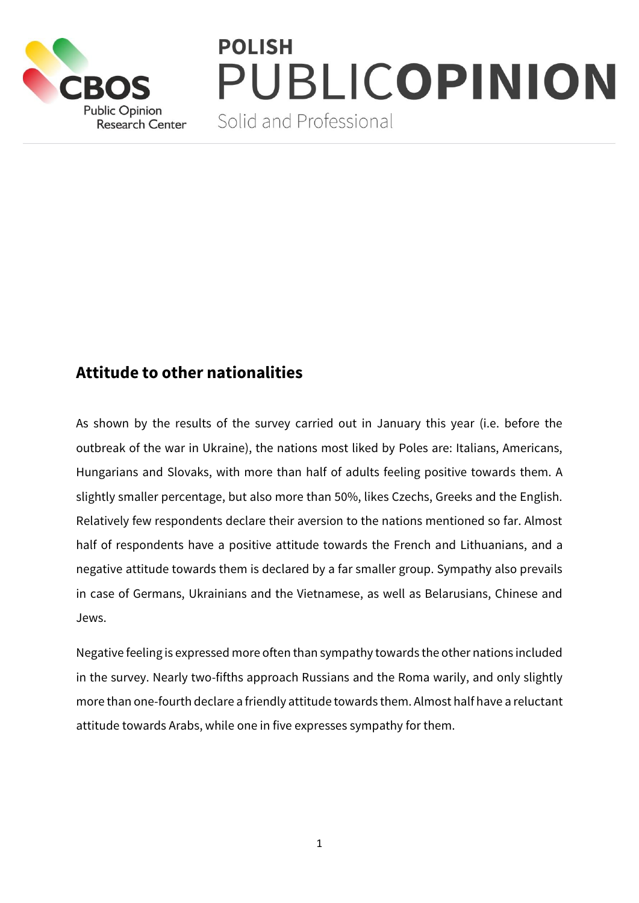

# **POLISH** PUBLICOPINION

Solid and Professional

## **Attitude to other nationalities**

As shown by the results of the survey carried out in January this year (i.e. before the outbreak of the war in Ukraine), the nations most liked by Poles are: Italians, Americans, Hungarians and Slovaks, with more than half of adults feeling positive towards them. A slightly smaller percentage, but also more than 50%, likes Czechs, Greeks and the English. Relatively few respondents declare their aversion to the nations mentioned so far. Almost half of respondents have a positive attitude towards the French and Lithuanians, and a negative attitude towards them is declared by a far smaller group. Sympathy also prevails in case of Germans, Ukrainians and the Vietnamese, as well as Belarusians, Chinese and Jews.

Negative feeling is expressed more often than sympathy towards the other nations included in the survey. Nearly two-fifths approach Russians and the Roma warily, and only slightly more than one-fourth declare a friendly attitude towards them. Almost half have a reluctant attitude towards Arabs, while one in five expresses sympathy for them.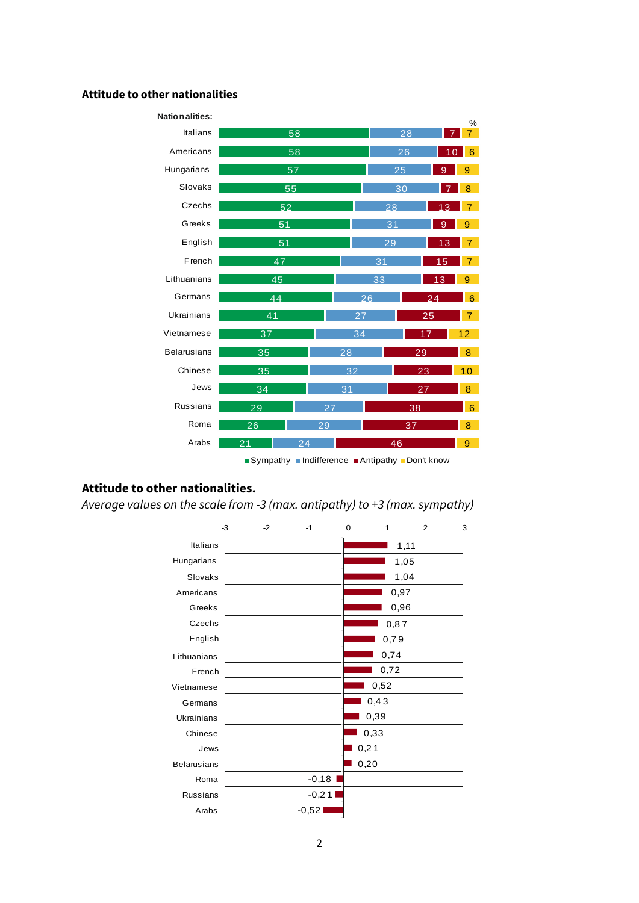#### **Attitude to other nationalities**



### **Attitude to other nationalities.**

*Average values on the scale from -3 (max. antipathy) to +3 (max. sympathy)*